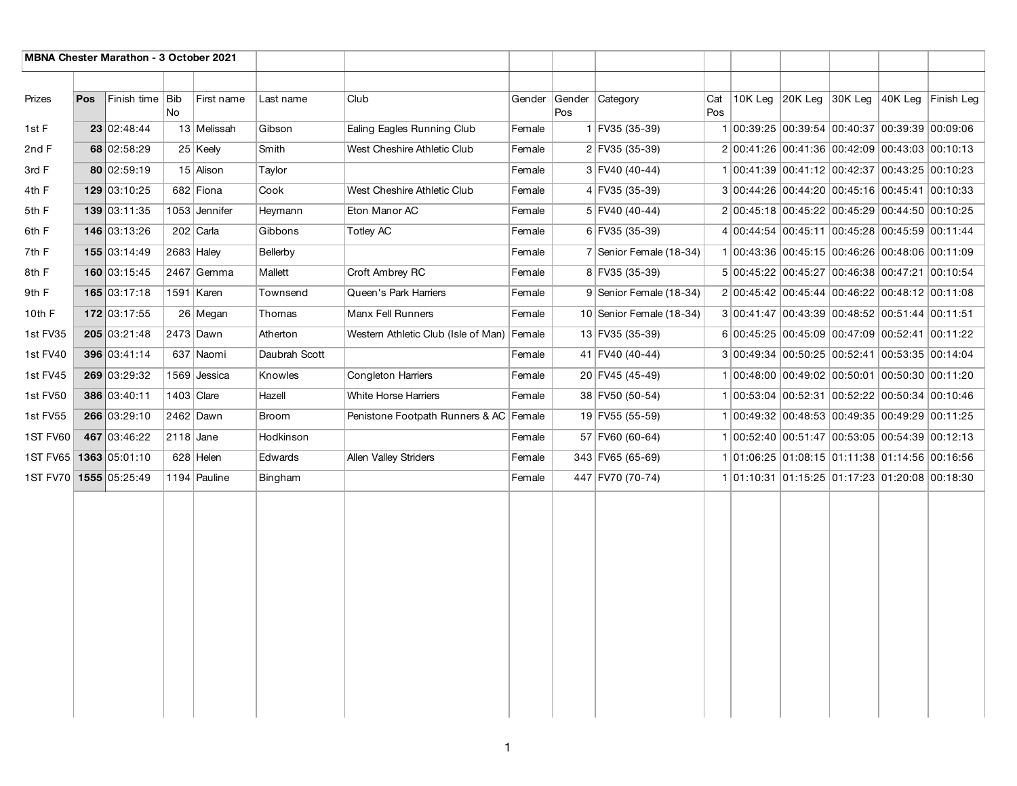| <b>MBNA Chester Marathon - 3 October 2021</b> |     |                 |              |               |               |                                            |        |               |                          |            |                                                |                                 |            |
|-----------------------------------------------|-----|-----------------|--------------|---------------|---------------|--------------------------------------------|--------|---------------|--------------------------|------------|------------------------------------------------|---------------------------------|------------|
|                                               |     |                 |              |               |               |                                            |        |               |                          |            |                                                |                                 |            |
| Prizes                                        | Pos | Finish time Bib | No           | First name    | Last name     | Club                                       | Gender | Gender<br>Pos | Category                 | Cat<br>Pos |                                                | 10K Leg 20K Leg 30K Leg 40K Leg | Finish Leg |
| 1st F                                         |     | 23 02:48:44     |              | 13 Melissah   | Gibson        | Ealing Eagles Running Club                 | Female |               | 1 FV35 (35-39)           |            | 1 00:39:25 00:39:54 00:40:37 00:39:39 00:09:06 |                                 |            |
| 2nd F                                         |     | 68 02:58:29     |              | 25 Keely      | Smith         | West Cheshire Athletic Club                | Female |               | 2 FV35 (35-39)           |            | 2 00:41:26 00:41:36 00:42:09 00:43:03 00:10:13 |                                 |            |
| 3rd F                                         |     | 80 02:59:19     |              | 15 Alison     | Taylor        |                                            | Female |               | 3 FV40 (40-44)           |            | 1 00:41:39 00:41:12 00:42:37 00:43:25 00:10:23 |                                 |            |
| 4th F                                         |     | 129 03:10:25    |              | 682 Fiona     | Cook          | West Cheshire Athletic Club                | Female |               | 4 FV35 (35-39)           |            | 3 00:44:26 00:44:20 00:45:16 00:45:41 00:10:33 |                                 |            |
| 5th F                                         |     | 139 03:11:35    |              | 1053 Jennifer | Heymann       | Eton Manor AC                              | Female |               | 5 FV40 (40-44)           |            | 2 00:45:18 00:45:22 00:45:29 00:44:50 00:10:25 |                                 |            |
| 6th F                                         |     | 146 03:13:26    |              | $202$ Carla   | Gibbons       | Totley AC                                  | Female |               | 6 FV35 (35-39)           |            | 4 00:44:54 00:45:11 00:45:28 00:45:59 00:11:44 |                                 |            |
| 7th F                                         |     | 155 03:14:49    | 2683 Haley   |               | Bellerby      |                                            | Female |               | 7 Senior Female (18-34)  |            | 1 00:43:36 00:45:15 00:46:26 00:48:06 00:11:09 |                                 |            |
| 8th F                                         |     | 160 03:15:45    |              | $2467$ Gemma  | Mallett       | Croft Ambrey RC                            | Female |               | 8 FV35 (35-39)           |            | 5 00:45:22 00:45:27 00:46:38 00:47:21 00:10:54 |                                 |            |
| 9th F                                         |     | 165 03:17:18    |              | 1591   Karen  | Townsend      | Queen's Park Harriers                      | Female |               | 9 Senior Female (18-34)  |            | 2 00:45:42 00:45:44 00:46:22 00:48:12 00:11:08 |                                 |            |
| 10th F                                        |     | 172 03:17:55    |              | 26 Megan      | Thomas        | Manx Fell Runners                          | Female |               | 10 Senior Female (18-34) |            | 3 00:41:47 00:43:39 00:48:52 00:51:44 00:11:51 |                                 |            |
| 1st FV35                                      |     | 205 03:21:48    |              | 2473 Dawn     | Atherton      | Western Athletic Club (Isle of Man) Female |        |               | 13 FV35 (35-39)          |            | 6 00:45:25 00:45:09 00:47:09 00:52:41 00:11:22 |                                 |            |
| 1st FV40                                      |     | 396 03:41:14    |              | 637 Naomi     | Daubrah Scott |                                            | Female |               | 41 FV40 (40-44)          |            | 3 00:49:34 00:50:25 00:52:41 00:53:35 00:14:04 |                                 |            |
| 1st FV45                                      |     | 269 03:29:32    |              | 1569 Jessica  | Knowles       | <b>Congleton Harriers</b>                  | Female |               | 20 FV45 (45-49)          |            | 1 00:48:00 00:49:02 00:50:01 00:50:30 00:11:20 |                                 |            |
| 1st FV50                                      |     | 386 03:40:11    | $1403$ Clare |               | Hazell        | White Horse Harriers                       | Female |               | 38 FV50 (50-54)          |            | 1 00:53:04 00:52:31 00:52:22 00:50:34 00:10:46 |                                 |            |
| 1st FV55                                      |     | 266 03:29:10    |              | 2462 Dawn     | <b>Broom</b>  | Penistone Footpath Runners & AC Female     |        |               | 19 FV55 (55-59)          |            | 1 00:49:32 00:48:53 00:49:35 00:49:29 00:11:25 |                                 |            |
| 1ST FV60                                      |     | 467 03:46:22    | 2118 Jane    |               | Hodkinson     |                                            | Female |               | 57 FV60 (60-64)          |            | 1 00:52:40 00:51:47 00:53:05 00:54:39 00:12:13 |                                 |            |
| 1ST FV65 1363 05:01:10                        |     |                 |              | $628$ Helen   | Edwards       | Allen Valley Striders                      | Female |               | 343 FV65 (65-69)         |            | 1 01:06:25 01:08:15 01:11:38 01:14:56 00:16:56 |                                 |            |
| 1ST FV70 1555 05:25:49                        |     |                 |              | 1194 Pauline  | Bingham       |                                            | Female |               | 447 FV70 (70-74)         |            | 1 01:10:31 01:15:25 01:17:23 01:20:08 00:18:30 |                                 |            |
|                                               |     |                 |              |               |               |                                            |        |               |                          |            |                                                |                                 |            |